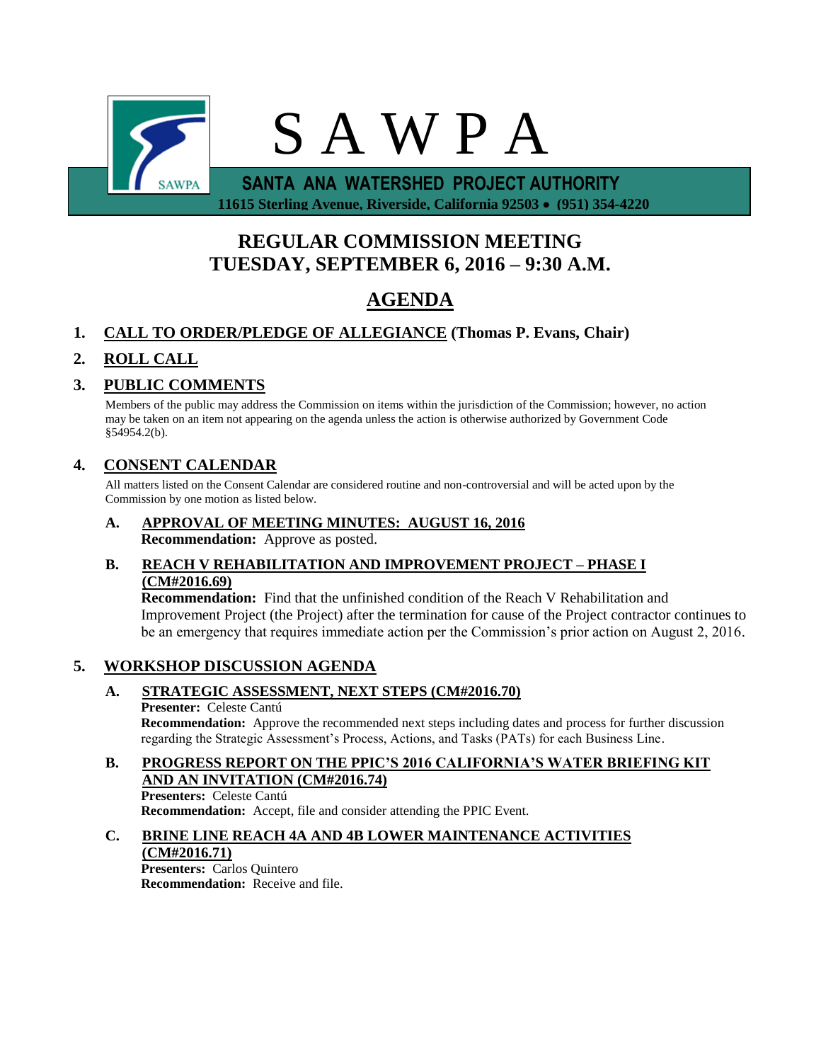

**REGULAR COMMISSION MEETING TUESDAY, SEPTEMBER 6, 2016 – 9:30 A.M.**

# **AGENDA**

### **1. CALL TO ORDER/PLEDGE OF ALLEGIANCE (Thomas P. Evans, Chair)**

## **2. ROLL CALL**

### **3. PUBLIC COMMENTS**

Members of the public may address the Commission on items within the jurisdiction of the Commission; however, no action may be taken on an item not appearing on the agenda unless the action is otherwise authorized by Government Code §54954.2(b).

### **4. CONSENT CALENDAR**

All matters listed on the Consent Calendar are considered routine and non-controversial and will be acted upon by the Commission by one motion as listed below.

**A. APPROVAL OF MEETING MINUTES: AUGUST 16, 2016 Recommendation:** Approve as posted.

#### **B. REACH V REHABILITATION AND IMPROVEMENT PROJECT – PHASE I (CM#2016.69)**

**Recommendation:** Find that the unfinished condition of the Reach V Rehabilitation and Improvement Project (the Project) after the termination for cause of the Project contractor continues to be an emergency that requires immediate action per the Commission's prior action on August 2, 2016.

### **5. WORKSHOP DISCUSSION AGENDA**

#### **A. STRATEGIC ASSESSMENT, NEXT STEPS (CM#2016.70)**

#### **Presenter:** Celeste Cantú

**Recommendation:** Approve the recommended next steps including dates and process for further discussion regarding the Strategic Assessment's Process, Actions, and Tasks (PATs) for each Business Line.

# **B. PROGRESS REPORT ON THE PPIC'S 2016 CALIFORNIA'S WATER BRIEFING KIT AND AN INVITATION (CM#2016.74)**

**Presenters:** Celeste Cantú **Recommendation:** Accept, file and consider attending the PPIC Event.

### **C. BRINE LINE REACH 4A AND 4B LOWER MAINTENANCE ACTIVITIES**

#### **(CM#2016.71)**

**Presenters:** Carlos Quintero **Recommendation:** Receive and file.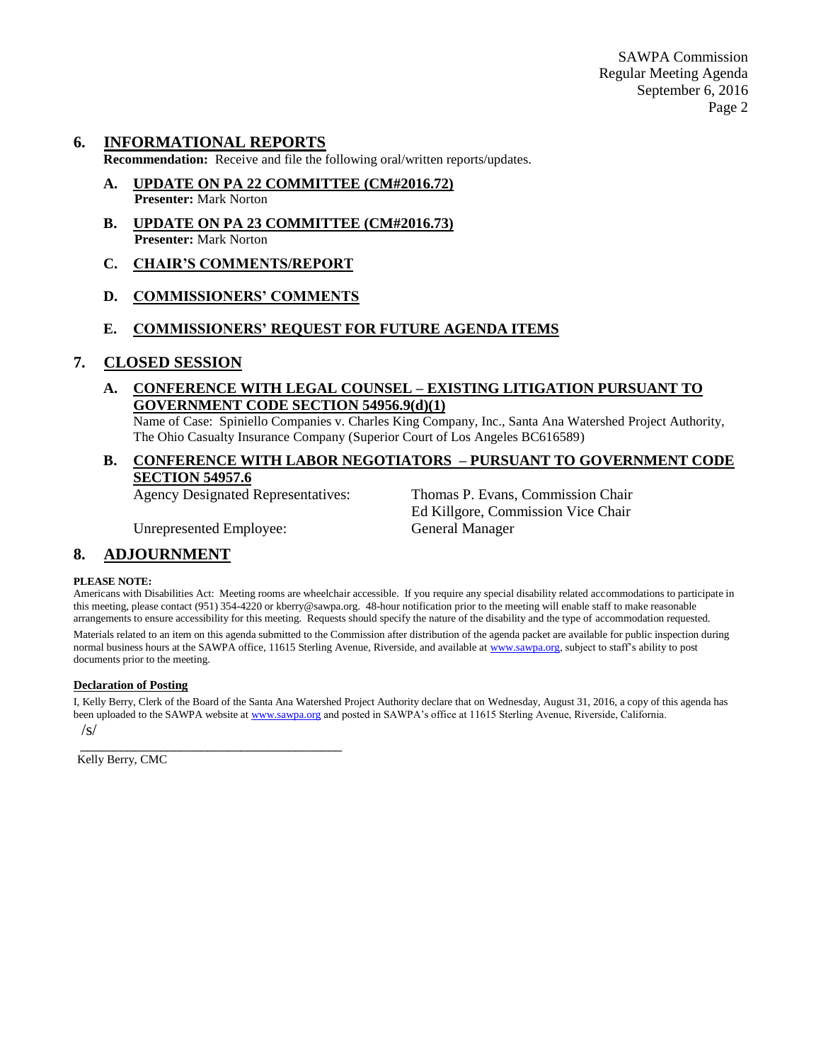#### **6. INFORMATIONAL REPORTS**

**Recommendation:** Receive and file the following oral/written reports/updates.

- **A. UPDATE ON PA 22 COMMITTEE (CM#2016.72) Presenter:** Mark Norton
- **B. UPDATE ON PA 23 COMMITTEE (CM#2016.73) Presenter:** Mark Norton
- **C. CHAIR'S COMMENTS/REPORT**
- **D. COMMISSIONERS' COMMENTS**

#### **E. COMMISSIONERS' REQUEST FOR FUTURE AGENDA ITEMS**

#### **7. CLOSED SESSION**

**A. CONFERENCE WITH LEGAL COUNSEL – EXISTING LITIGATION PURSUANT TO GOVERNMENT CODE SECTION 54956.9(d)(1)**

Name of Case: Spiniello Companies v. Charles King Company, Inc., Santa Ana Watershed Project Authority, The Ohio Casualty Insurance Company (Superior Court of Los Angeles BC616589)

#### **B. CONFERENCE WITH LABOR NEGOTIATORS – PURSUANT TO GOVERNMENT CODE SECTION 54957.6**

Agency Designated Representatives: Thomas P. Evans, Commission Chair Ed Killgore, Commission Vice Chair

Unrepresented Employee: General Manager

#### **8. ADJOURNMENT**

#### **PLEASE NOTE:**

Americans with Disabilities Act: Meeting rooms are wheelchair accessible. If you require any special disability related accommodations to participate in this meeting, please contact (951) 354-4220 or kberry@sawpa.org. 48-hour notification prior to the meeting will enable staff to make reasonable arrangements to ensure accessibility for this meeting. Requests should specify the nature of the disability and the type of accommodation requested.

Materials related to an item on this agenda submitted to the Commission after distribution of the agenda packet are available for public inspection during normal business hours at the SAWPA office, 11615 Sterling Avenue, Riverside, and available a[t www.sawpa.org,](http://www.sawpa.org/) subject to staff's ability to post documents prior to the meeting.

#### **Declaration of Posting**

I, Kelly Berry, Clerk of the Board of the Santa Ana Watershed Project Authority declare that on Wednesday, August 31, 2016, a copy of this agenda has been uploaded to the SAWPA website a[t www.sawpa.org](http://www.sawpa.org/) and posted in SAWPA's office at 11615 Sterling Avenue, Riverside, California.

 /s/ \_\_\_\_\_\_\_\_\_\_\_\_\_\_\_\_\_\_\_\_\_\_\_\_\_\_\_\_\_\_\_\_\_\_\_\_\_\_\_

Kelly Berry, CMC